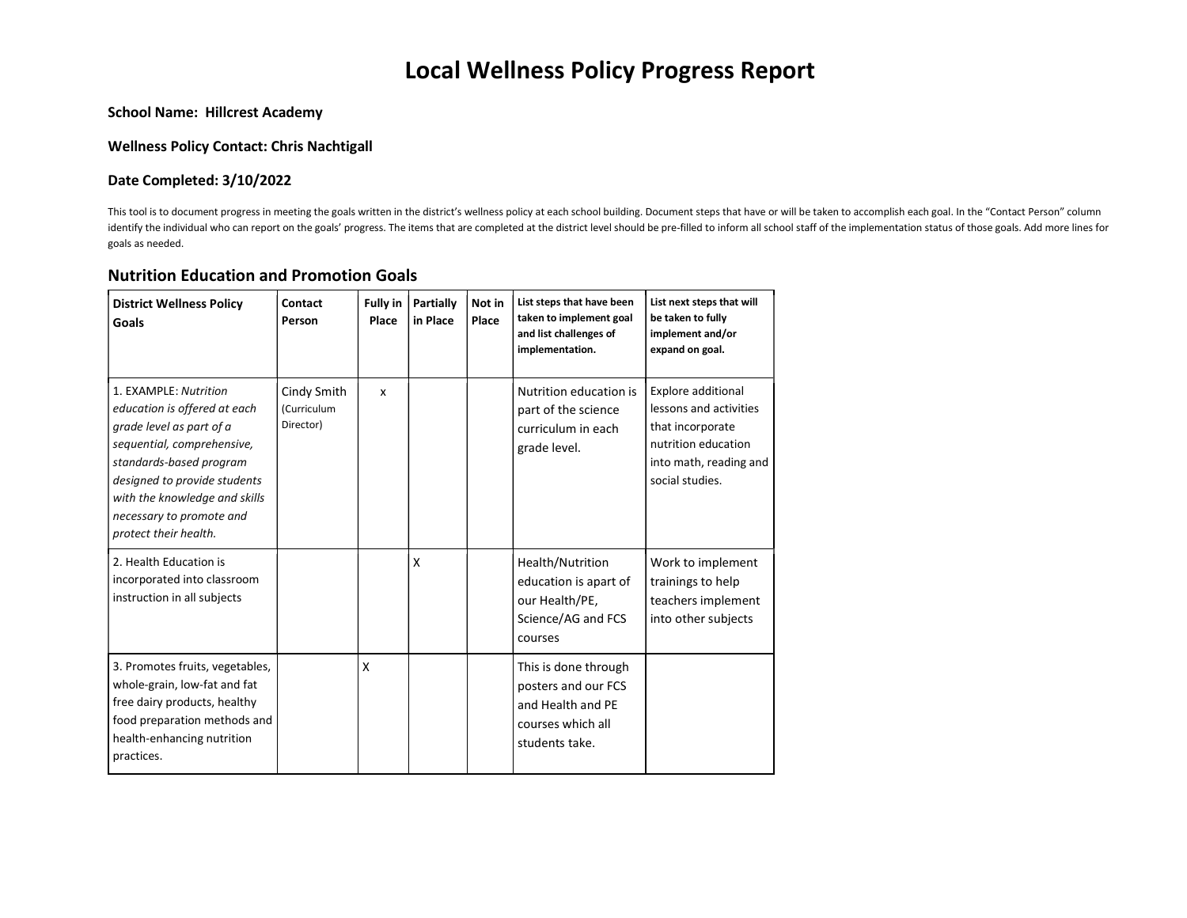# Local Wellness Policy Progress Report

#### School Name: Hillcrest Academy

#### Wellness Policy Contact: Chris Nachtigall

#### Date Completed: 3/10/2022

This tool is to document progress in meeting the goals written in the district's wellness policy at each school building. Document steps that have or will be taken to accomplish each goal. In the "Contact Person" column identify the individual who can report on the goals' progress. The items that are completed at the district level should be pre-filled to inform all school staff of the implementation status of those goals. Add more lines goals as needed.

#### Nutrition Education and Promotion Goals

| <b>District Wellness Policy</b><br>Goals                                                                                                                                                                                                                         | Contact<br>Person                              | <b>Fully in</b><br>Place | <b>Partially</b><br>in Place | Not in<br>Place | List steps that have been<br>taken to implement goal<br>and list challenges of<br>implementation.       | List next steps that will<br>be taken to fully<br>implement and/or<br>expand on goal.                                                |
|------------------------------------------------------------------------------------------------------------------------------------------------------------------------------------------------------------------------------------------------------------------|------------------------------------------------|--------------------------|------------------------------|-----------------|---------------------------------------------------------------------------------------------------------|--------------------------------------------------------------------------------------------------------------------------------------|
| 1. EXAMPLE: Nutrition<br>education is offered at each<br>grade level as part of a<br>sequential, comprehensive,<br>standards-based program<br>designed to provide students<br>with the knowledge and skills<br>necessary to promote and<br>protect their health. | Cindy Smith<br><i>(Curriculum</i><br>Director) | $\mathsf{x}$             |                              |                 | Nutrition education is<br>part of the science<br>curriculum in each<br>grade level.                     | Explore additional<br>lessons and activities<br>that incorporate<br>nutrition education<br>into math, reading and<br>social studies. |
| 2. Health Education is<br>incorporated into classroom<br>instruction in all subjects                                                                                                                                                                             |                                                |                          | X                            |                 | Health/Nutrition<br>education is apart of<br>our Health/PE,<br>Science/AG and FCS<br>courses            | Work to implement<br>trainings to help<br>teachers implement<br>into other subjects                                                  |
| 3. Promotes fruits, vegetables,<br>whole-grain, low-fat and fat<br>free dairy products, healthy<br>food preparation methods and<br>health-enhancing nutrition<br>practices.                                                                                      |                                                | X                        |                              |                 | This is done through<br>posters and our FCS<br>and Health and PE<br>courses which all<br>students take. |                                                                                                                                      |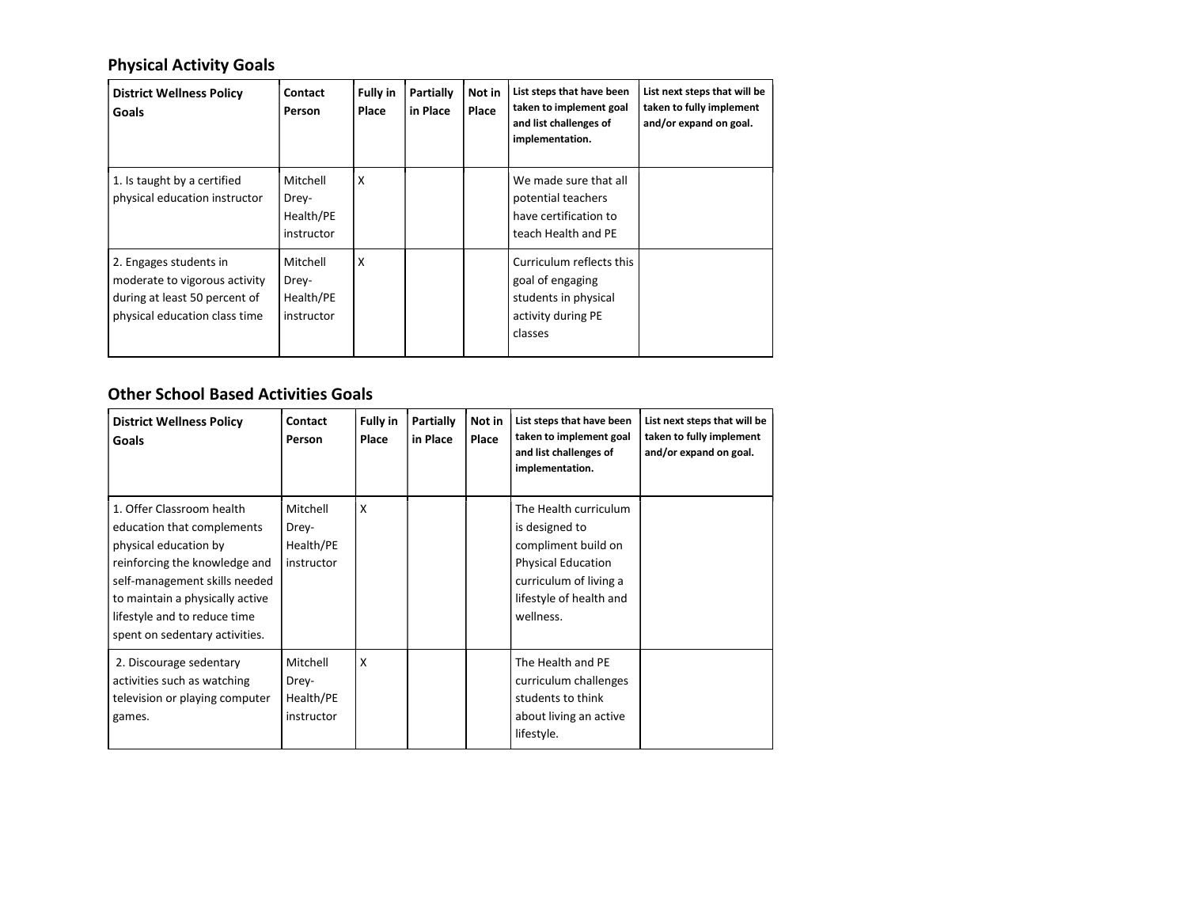## Physical Activity Goals

| <b>District Wellness Policy</b><br>Goals                                                                                  | Contact<br>Person                            | <b>Fully in</b><br>Place | Partially<br>in Place | Not in<br>Place | List steps that have been<br>taken to implement goal<br>and list challenges of<br>implementation.     | List next steps that will be<br>taken to fully implement<br>and/or expand on goal. |
|---------------------------------------------------------------------------------------------------------------------------|----------------------------------------------|--------------------------|-----------------------|-----------------|-------------------------------------------------------------------------------------------------------|------------------------------------------------------------------------------------|
| 1. Is taught by a certified<br>physical education instructor                                                              | Mitchell<br>Drey-<br>Health/PE<br>instructor | $\mathsf{X}$             |                       |                 | We made sure that all<br>potential teachers<br>have certification to<br>teach Health and PE           |                                                                                    |
| 2. Engages students in<br>moderate to vigorous activity<br>during at least 50 percent of<br>physical education class time | Mitchell<br>Drey-<br>Health/PE<br>instructor | X                        |                       |                 | Curriculum reflects this<br>goal of engaging<br>students in physical<br>activity during PE<br>classes |                                                                                    |

### Other School Based Activities Goals

| <b>District Wellness Policy</b><br>Goals                                                                                                                                                                                                                | Contact<br>Person                            | <b>Fully in</b><br>Place | Partially<br>in Place | Not in<br>Place | List steps that have been<br>taken to implement goal<br>and list challenges of<br>implementation.                                                             | List next steps that will be<br>taken to fully implement<br>and/or expand on goal. |
|---------------------------------------------------------------------------------------------------------------------------------------------------------------------------------------------------------------------------------------------------------|----------------------------------------------|--------------------------|-----------------------|-----------------|---------------------------------------------------------------------------------------------------------------------------------------------------------------|------------------------------------------------------------------------------------|
| 1. Offer Classroom health<br>education that complements<br>physical education by<br>reinforcing the knowledge and<br>self-management skills needed<br>to maintain a physically active<br>lifestyle and to reduce time<br>spent on sedentary activities. | Mitchell<br>Drey-<br>Health/PE<br>instructor | X                        |                       |                 | The Health curriculum<br>is designed to<br>compliment build on<br><b>Physical Education</b><br>curriculum of living a<br>lifestyle of health and<br>wellness. |                                                                                    |
| 2. Discourage sedentary<br>activities such as watching<br>television or playing computer<br>games.                                                                                                                                                      | Mitchell<br>Drey-<br>Health/PE<br>instructor | X                        |                       |                 | The Health and PE<br>curriculum challenges<br>students to think<br>about living an active<br>lifestyle.                                                       |                                                                                    |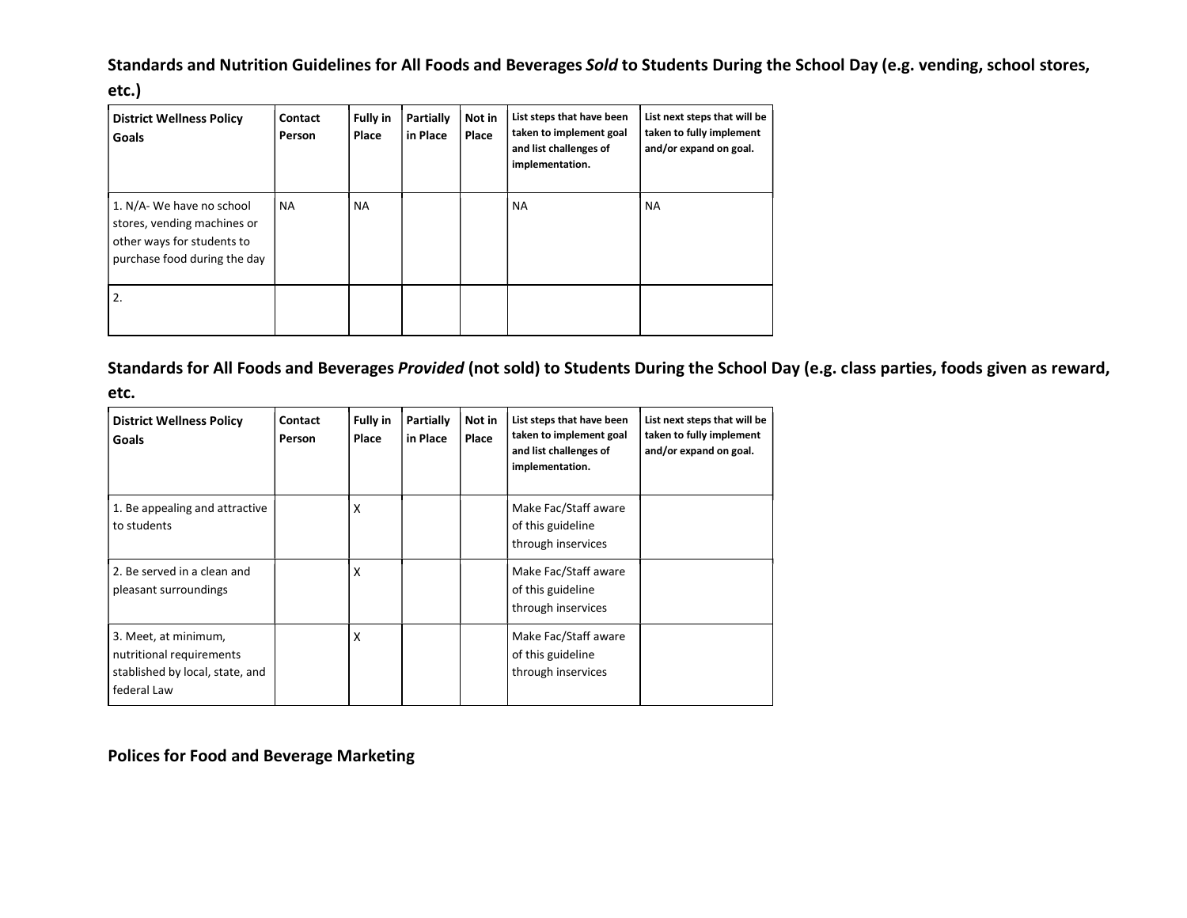## Standards and Nutrition Guidelines for All Foods and Beverages Sold to Students During the School Day (e.g. vending, school stores,

| etc.)                                                                                                                  |                   |                          |                       |                 |                                                                                                   |                                                                                    |  |
|------------------------------------------------------------------------------------------------------------------------|-------------------|--------------------------|-----------------------|-----------------|---------------------------------------------------------------------------------------------------|------------------------------------------------------------------------------------|--|
| <b>District Wellness Policy</b><br>Goals                                                                               | Contact<br>Person | <b>Fully in</b><br>Place | Partially<br>in Place | Not in<br>Place | List steps that have been<br>taken to implement goal<br>and list challenges of<br>implementation. | List next steps that will be<br>taken to fully implement<br>and/or expand on goal. |  |
| 1. N/A- We have no school<br>stores, vending machines or<br>other ways for students to<br>purchase food during the day | <b>NA</b>         | <b>NA</b>                |                       |                 | <b>NA</b>                                                                                         | <b>NA</b>                                                                          |  |
| 2.                                                                                                                     |                   |                          |                       |                 |                                                                                                   |                                                                                    |  |

### Standards for All Foods and Beverages Provided (not sold) to Students During the School Day (e.g. class parties, foods given as reward,

| etc.                                                                                               |                   |                          |                       |                 |                                                                                                   |                                                                                    |  |
|----------------------------------------------------------------------------------------------------|-------------------|--------------------------|-----------------------|-----------------|---------------------------------------------------------------------------------------------------|------------------------------------------------------------------------------------|--|
| <b>District Wellness Policy</b><br>Goals                                                           | Contact<br>Person | <b>Fully in</b><br>Place | Partially<br>in Place | Not in<br>Place | List steps that have been<br>taken to implement goal<br>and list challenges of<br>implementation. | List next steps that will be<br>taken to fully implement<br>and/or expand on goal. |  |
| 1. Be appealing and attractive<br>to students                                                      |                   | X                        |                       |                 | Make Fac/Staff aware<br>of this guideline<br>through inservices                                   |                                                                                    |  |
| 2. Be served in a clean and<br>pleasant surroundings                                               |                   | X                        |                       |                 | Make Fac/Staff aware<br>of this guideline<br>through inservices                                   |                                                                                    |  |
| 3. Meet, at minimum,<br>nutritional requirements<br>stablished by local, state, and<br>federal Law |                   | X                        |                       |                 | Make Fac/Staff aware<br>of this guideline<br>through inservices                                   |                                                                                    |  |

Polices for Food and Beverage Marketing